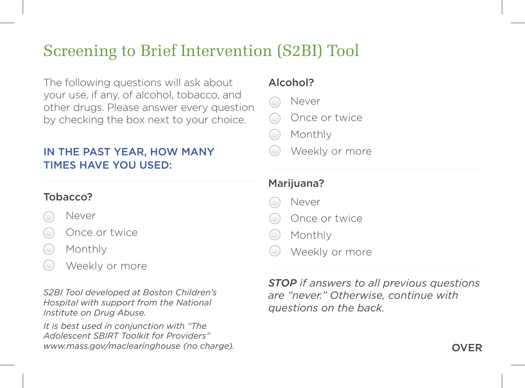# Screening to Brief Intervention (S2BI) Tool

The following questions will ask about your use, if any, of alcohol, tobacco, and other drugs. Please answer every question by checking the box next to your choice.

## IN THE PAST YEAR, HOW MANY TIMES HAVE YOU USED:

#### Tobacco?

- Never
- Once or twice
- Monthly
- Weekly or more

*S2BI Tool developed at Boston Children's Hospital with support from the National Institute on Drug Abuse.* 

*It is best used in conjunction with "The Adolescent SBIRT Toolkit for Providers" www.mass.gov/maclearinghouse (no charge).*

#### Alcohol?

- Never
- Once or twice
- Monthly
- Weekly or more

### Marijuana?

- Never
- Once or twice
- Monthly
- Weekly or more

*STOP if answers to all previous questions are "never." Otherwise, continue with questions on the back.*